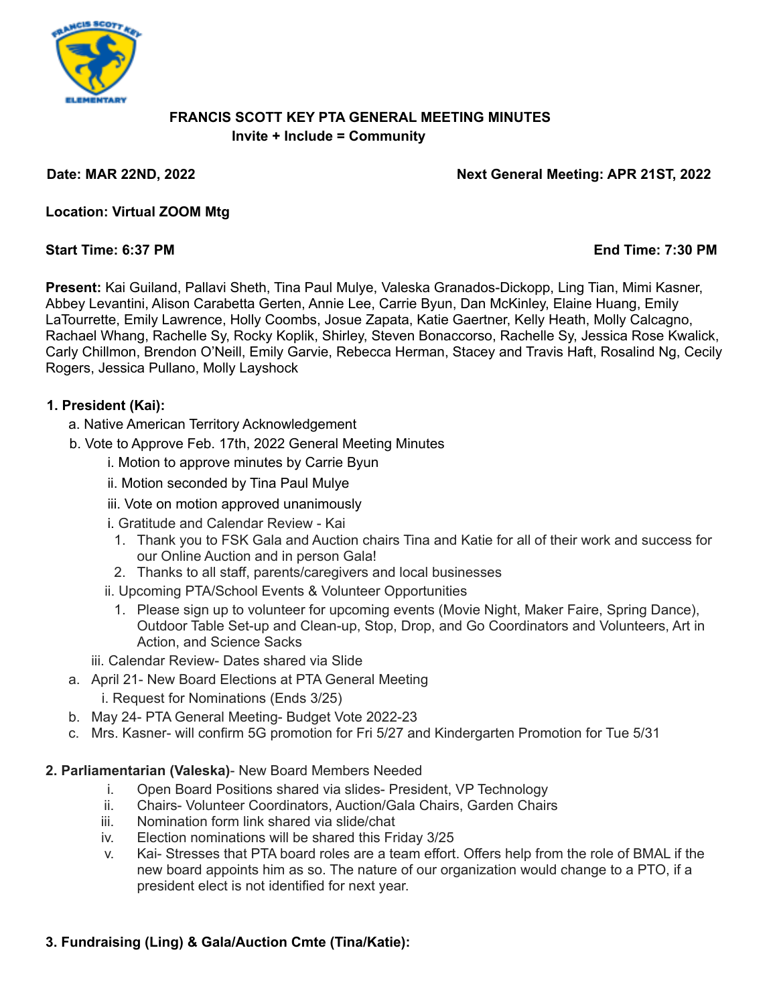

# **FRANCIS SCOTT KEY PTA GENERAL MEETING MINUTES Invite + Include = Community**

**Date: MAR 22ND, 2022 Next General Meeting: APR 21ST, 2022**

**Location: Virtual ZOOM Mtg**

# **Start Time: 6:37 PM End Time: 7:30 PM**

**Present:** Kai Guiland, Pallavi Sheth, Tina Paul Mulye, Valeska Granados-Dickopp, Ling Tian, Mimi Kasner, Abbey Levantini, Alison Carabetta Gerten, Annie Lee, Carrie Byun, Dan McKinley, Elaine Huang, Emily LaTourrette, Emily Lawrence, Holly Coombs, Josue Zapata, Katie Gaertner, Kelly Heath, Molly Calcagno, Rachael Whang, Rachelle Sy, Rocky Koplik, Shirley, Steven Bonaccorso, Rachelle Sy, Jessica Rose Kwalick, Carly Chillmon, Brendon O'Neill, Emily Garvie, Rebecca Herman, Stacey and Travis Haft, Rosalind Ng, Cecily Rogers, Jessica Pullano, Molly Layshock

### **1. President (Kai):**

- a. Native American Territory Acknowledgement
- b. Vote to Approve Feb. 17th, 2022 General Meeting Minutes
	- i. Motion to approve minutes by Carrie Byun
	- ii. Motion seconded by Tina Paul Mulye
	- iii. Vote on motion approved unanimously
	- i. Gratitude and Calendar Review Kai
	- 1. Thank you to FSK Gala and Auction chairs Tina and Katie for all of their work and success for our Online Auction and in person Gala!
	- 2. Thanks to all staff, parents/caregivers and local businesses
	- ii. Upcoming PTA/School Events & Volunteer Opportunities
		- 1. Please sign up to volunteer for upcoming events (Movie Night, Maker Faire, Spring Dance), Outdoor Table Set-up and Clean-up, Stop, Drop, and Go Coordinators and Volunteers, Art in Action, and Science Sacks
	- iii. Calendar Review- Dates shared via Slide
- a. April 21- New Board Elections at PTA General Meeting
	- i. Request for Nominations (Ends 3/25)
- b. May 24- PTA General Meeting- Budget Vote 2022-23
- c. Mrs. Kasner- will confirm 5G promotion for Fri 5/27 and Kindergarten Promotion for Tue 5/31

# **2. Parliamentarian (Valeska)**- New Board Members Needed

- i. Open Board Positions shared via slides- President, VP Technology
- ii. Chairs- Volunteer Coordinators, Auction/Gala Chairs, Garden Chairs
- iii. Nomination form link shared via slide/chat
- iv. Election nominations will be shared this Friday 3/25
- v. Kai- Stresses that PTA board roles are a team effort. Offers help from the role of BMAL if the new board appoints him as so. The nature of our organization would change to a PTO, if a president elect is not identified for next year.

# **3. Fundraising (Ling) & Gala/Auction Cmte (Tina/Katie):**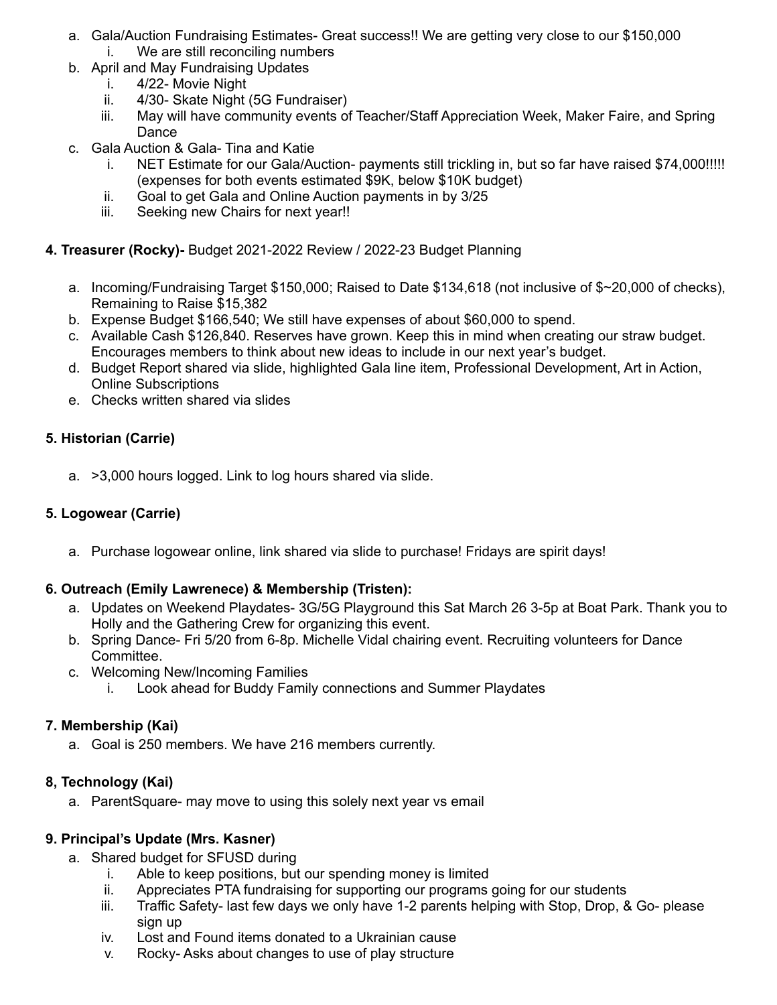- a. Gala/Auction Fundraising Estimates- Great success!! We are getting very close to our \$150,000
	- i. We are still reconciling numbers
- b. April and May Fundraising Updates
	- i. 4/22- Movie Night
	- ii. 4/30- Skate Night (5G Fundraiser)
	- iii. May will have community events of Teacher/Staff Appreciation Week, Maker Faire, and Spring Dance
- c. Gala Auction & Gala- Tina and Katie
	- i. NET Estimate for our Gala/Auction- payments still trickling in, but so far have raised \$74,000!!!!! (expenses for both events estimated \$9K, below \$10K budget)
	- ii. Goal to get Gala and Online Auction payments in by 3/25
	- iii. Seeking new Chairs for next year!!
- **4. Treasurer (Rocky)-** Budget 2021-2022 Review / 2022-23 Budget Planning
	- a. Incoming/Fundraising Target \$150,000; Raised to Date \$134,618 (not inclusive of \$~20,000 of checks), Remaining to Raise \$15,382
	- b. Expense Budget \$166,540; We still have expenses of about \$60,000 to spend.
	- c. Available Cash \$126,840. Reserves have grown. Keep this in mind when creating our straw budget. Encourages members to think about new ideas to include in our next year's budget.
	- d. Budget Report shared via slide, highlighted Gala line item, Professional Development, Art in Action, Online Subscriptions
	- e. Checks written shared via slides

### **5. Historian (Carrie)**

a. >3,000 hours logged. Link to log hours shared via slide.

# **5. Logowear (Carrie)**

a. Purchase logowear online, link shared via slide to purchase! Fridays are spirit days!

# **6. Outreach (Emily Lawrenece) & Membership (Tristen):**

- a. Updates on Weekend Playdates- 3G/5G Playground this Sat March 26 3-5p at Boat Park. Thank you to Holly and the Gathering Crew for organizing this event.
- b. Spring Dance- Fri 5/20 from 6-8p. Michelle Vidal chairing event. Recruiting volunteers for Dance Committee.
- c. Welcoming New/Incoming Families
	- i. Look ahead for Buddy Family connections and Summer Playdates

# **7. Membership (Kai)**

a. Goal is 250 members. We have 216 members currently.

#### **8, Technology (Kai)**

a. ParentSquare- may move to using this solely next year vs email

#### **9. Principal's Update (Mrs. Kasner)**

- a. Shared budget for SFUSD during
	- i. Able to keep positions, but our spending money is limited
	- ii. Appreciates PTA fundraising for supporting our programs going for our students
	- iii. Traffic Safety- last few days we only have 1-2 parents helping with Stop, Drop, & Go- please sign up
	- iv. Lost and Found items donated to a Ukrainian cause
	- v. Rocky- Asks about changes to use of play structure